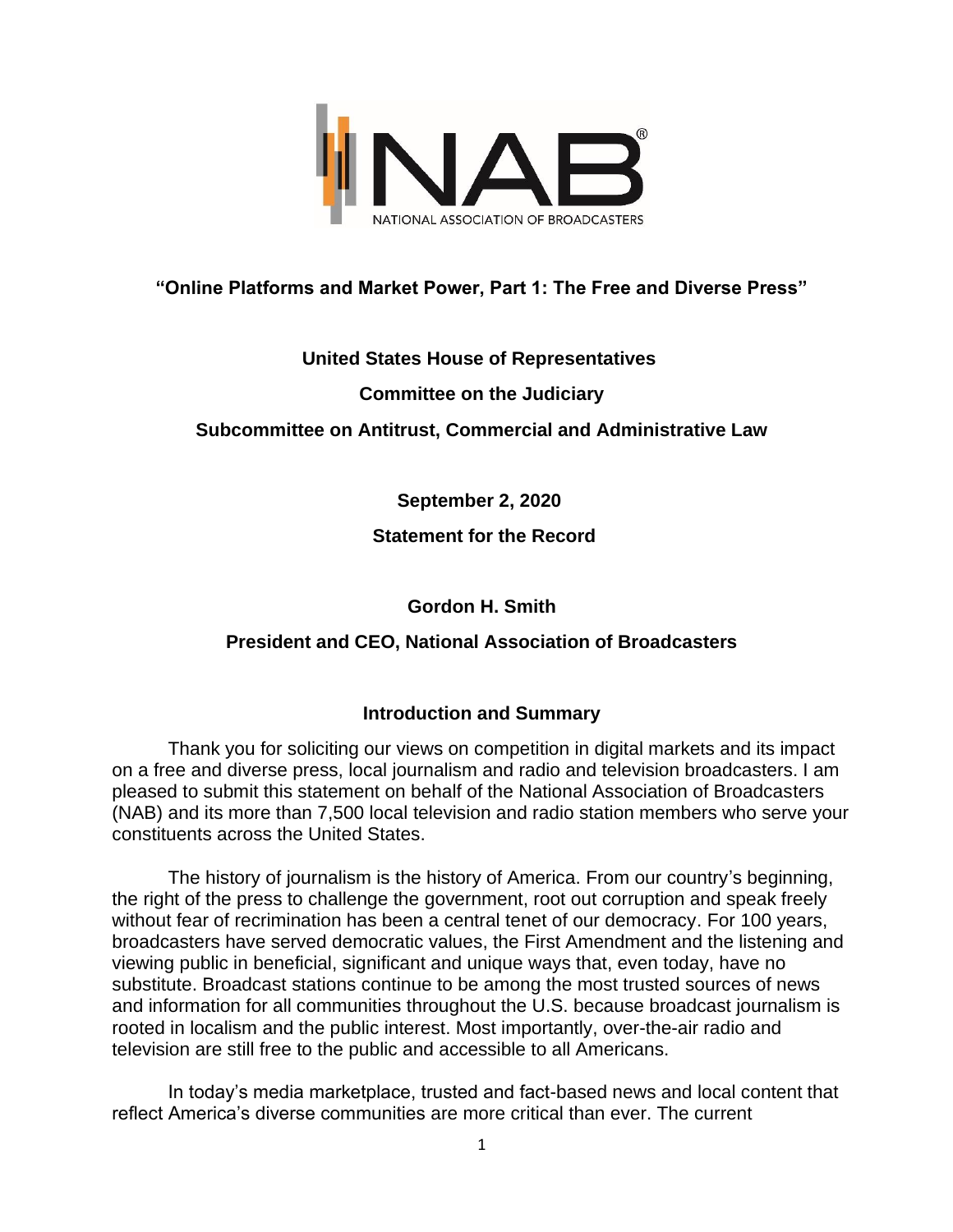

# **"Online Platforms and Market Power, Part 1: The Free and Diverse Press"**

## **United States House of Representatives**

## **Committee on the Judiciary**

## **Subcommittee on Antitrust, Commercial and Administrative Law**

**September 2, 2020**

## **Statement for the Record**

## **Gordon H. Smith**

# **President and CEO, National Association of Broadcasters**

# **Introduction and Summary**

Thank you for soliciting our views on competition in digital markets and its impact on a free and diverse press, local journalism and radio and television broadcasters. I am pleased to submit this statement on behalf of the National Association of Broadcasters (NAB) and its more than 7,500 local television and radio station members who serve your constituents across the United States.

The history of journalism is the history of America. From our country's beginning, the right of the press to challenge the government, root out corruption and speak freely without fear of recrimination has been a central tenet of our democracy. For 100 years, broadcasters have served democratic values, the First Amendment and the listening and viewing public in beneficial, significant and unique ways that, even today, have no substitute. Broadcast stations continue to be among the most trusted sources of news and information for all communities throughout the U.S. because broadcast journalism is rooted in localism and the public interest. Most importantly, over-the-air radio and television are still free to the public and accessible to all Americans.

In today's media marketplace, trusted and fact-based news and local content that reflect America's diverse communities are more critical than ever. The current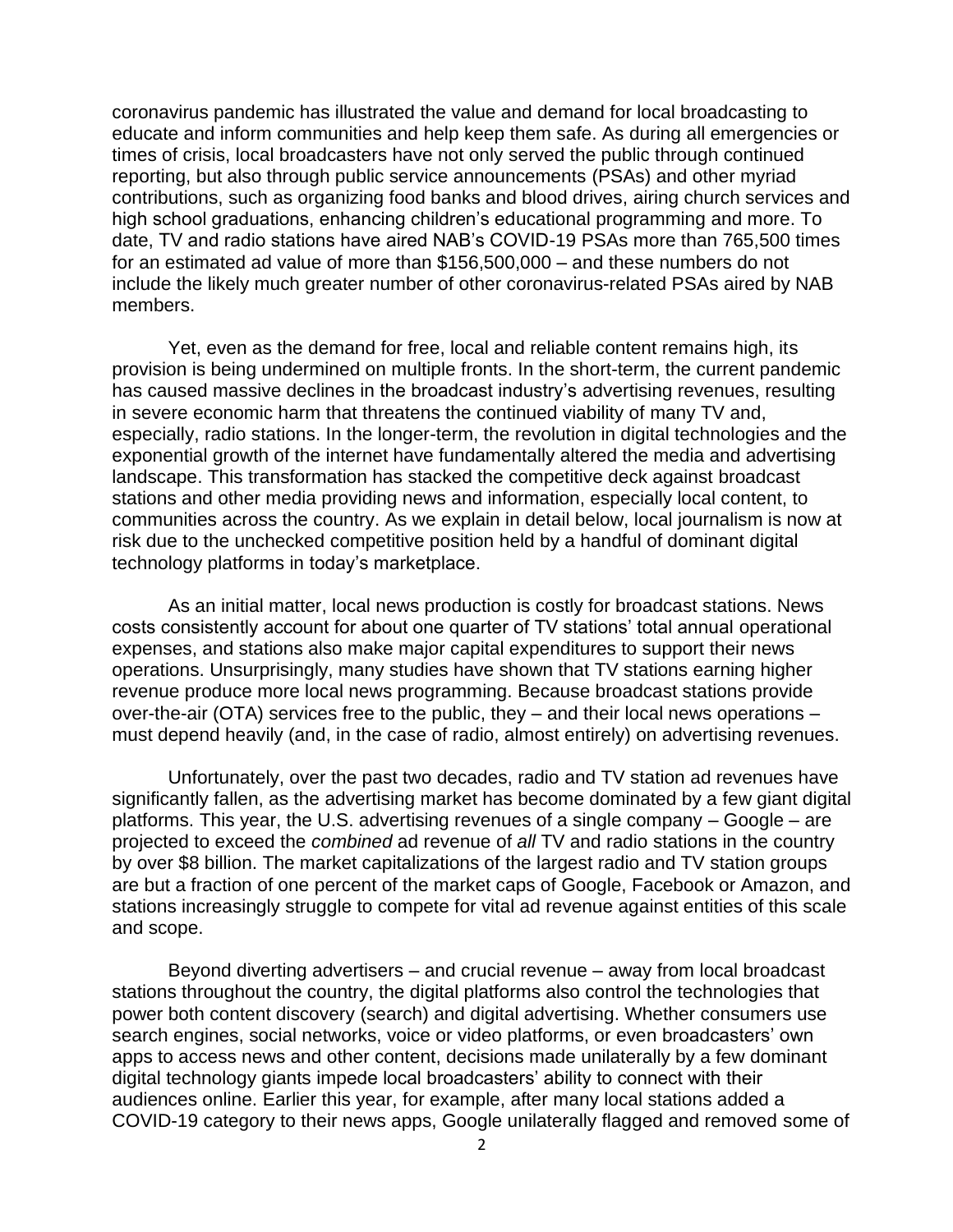coronavirus pandemic has illustrated the value and demand for local broadcasting to educate and inform communities and help keep them safe. As during all emergencies or times of crisis, local broadcasters have not only served the public through continued reporting, but also through public service announcements (PSAs) and other myriad contributions, such as organizing food banks and blood drives, airing church services and high school graduations, enhancing children's educational programming and more. To date, TV and radio stations have aired NAB's COVID-19 PSAs more than 765,500 times for an estimated ad value of more than \$156,500,000 – and these numbers do not include the likely much greater number of other coronavirus-related PSAs aired by NAB members.

Yet, even as the demand for free, local and reliable content remains high, its provision is being undermined on multiple fronts. In the short-term, the current pandemic has caused massive declines in the broadcast industry's advertising revenues, resulting in severe economic harm that threatens the continued viability of many TV and, especially, radio stations. In the longer-term, the revolution in digital technologies and the exponential growth of the internet have fundamentally altered the media and advertising landscape. This transformation has stacked the competitive deck against broadcast stations and other media providing news and information, especially local content, to communities across the country. As we explain in detail below, local journalism is now at risk due to the unchecked competitive position held by a handful of dominant digital technology platforms in today's marketplace.

As an initial matter, local news production is costly for broadcast stations. News costs consistently account for about one quarter of TV stations' total annual operational expenses, and stations also make major capital expenditures to support their news operations. Unsurprisingly, many studies have shown that TV stations earning higher revenue produce more local news programming. Because broadcast stations provide over-the-air (OTA) services free to the public, they – and their local news operations – must depend heavily (and, in the case of radio, almost entirely) on advertising revenues.

Unfortunately, over the past two decades, radio and TV station ad revenues have significantly fallen, as the advertising market has become dominated by a few giant digital platforms. This year, the U.S. advertising revenues of a single company – Google – are projected to exceed the *combined* ad revenue of *all* TV and radio stations in the country by over \$8 billion. The market capitalizations of the largest radio and TV station groups are but a fraction of one percent of the market caps of Google, Facebook or Amazon, and stations increasingly struggle to compete for vital ad revenue against entities of this scale and scope.

Beyond diverting advertisers – and crucial revenue – away from local broadcast stations throughout the country, the digital platforms also control the technologies that power both content discovery (search) and digital advertising. Whether consumers use search engines, social networks, voice or video platforms, or even broadcasters' own apps to access news and other content, decisions made unilaterally by a few dominant digital technology giants impede local broadcasters' ability to connect with their audiences online. Earlier this year, for example, after many local stations added a COVID-19 category to their news apps, Google unilaterally flagged and removed some of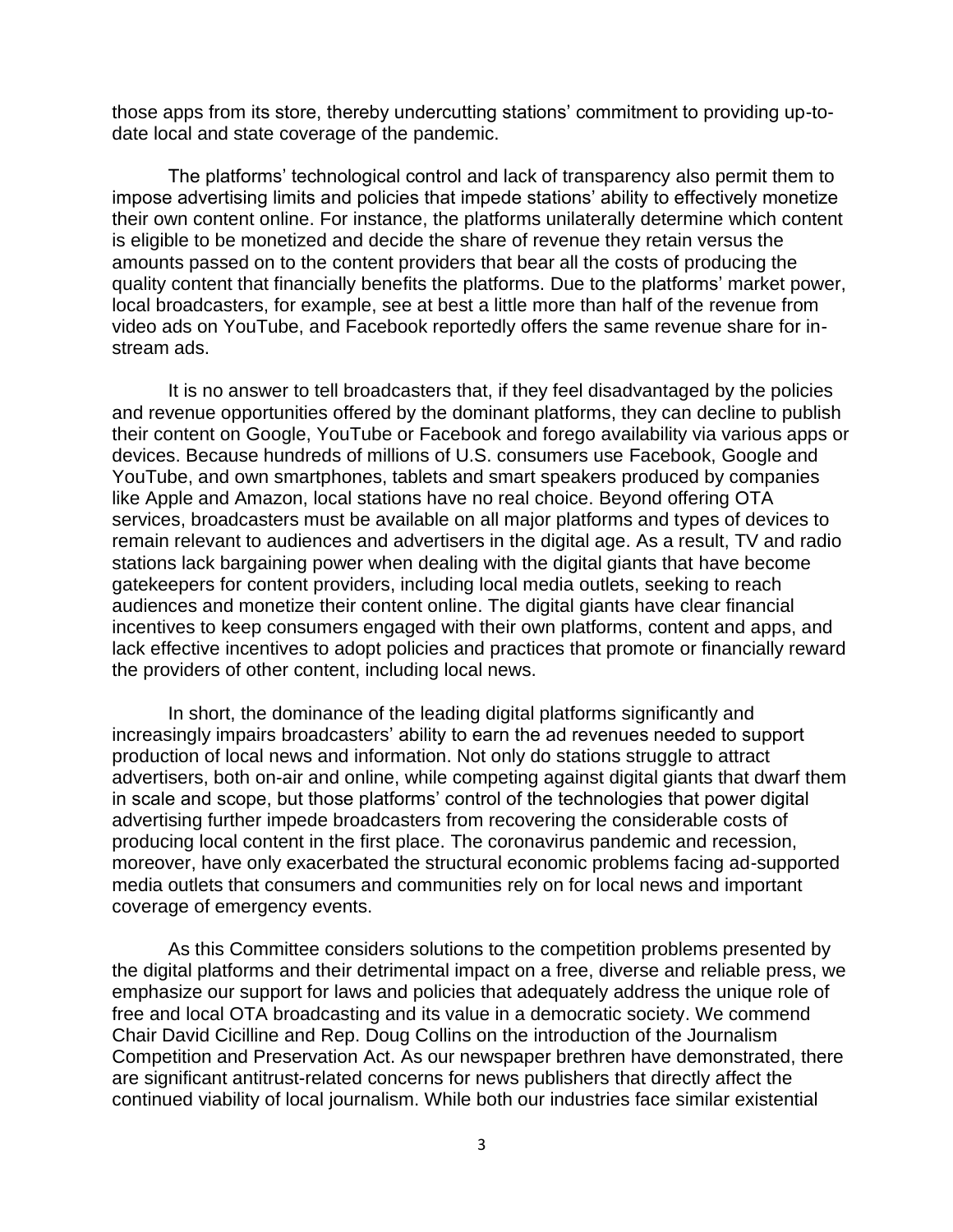those apps from its store, thereby undercutting stations' commitment to providing up-todate local and state coverage of the pandemic.

The platforms' technological control and lack of transparency also permit them to impose advertising limits and policies that impede stations' ability to effectively monetize their own content online. For instance, the platforms unilaterally determine which content is eligible to be monetized and decide the share of revenue they retain versus the amounts passed on to the content providers that bear all the costs of producing the quality content that financially benefits the platforms. Due to the platforms' market power, local broadcasters, for example, see at best a little more than half of the revenue from video ads on YouTube, and Facebook reportedly offers the same revenue share for instream ads.

It is no answer to tell broadcasters that, if they feel disadvantaged by the policies and revenue opportunities offered by the dominant platforms, they can decline to publish their content on Google, YouTube or Facebook and forego availability via various apps or devices. Because hundreds of millions of U.S. consumers use Facebook, Google and YouTube, and own smartphones, tablets and smart speakers produced by companies like Apple and Amazon, local stations have no real choice. Beyond offering OTA services, broadcasters must be available on all major platforms and types of devices to remain relevant to audiences and advertisers in the digital age. As a result, TV and radio stations lack bargaining power when dealing with the digital giants that have become gatekeepers for content providers, including local media outlets, seeking to reach audiences and monetize their content online. The digital giants have clear financial incentives to keep consumers engaged with their own platforms, content and apps, and lack effective incentives to adopt policies and practices that promote or financially reward the providers of other content, including local news.

In short, the dominance of the leading digital platforms significantly and increasingly impairs broadcasters' ability to earn the ad revenues needed to support production of local news and information. Not only do stations struggle to attract advertisers, both on-air and online, while competing against digital giants that dwarf them in scale and scope, but those platforms' control of the technologies that power digital advertising further impede broadcasters from recovering the considerable costs of producing local content in the first place. The coronavirus pandemic and recession, moreover, have only exacerbated the structural economic problems facing ad-supported media outlets that consumers and communities rely on for local news and important coverage of emergency events.

As this Committee considers solutions to the competition problems presented by the digital platforms and their detrimental impact on a free, diverse and reliable press, we emphasize our support for laws and policies that adequately address the unique role of free and local OTA broadcasting and its value in a democratic society. We commend Chair David Cicilline and Rep. Doug Collins on the introduction of the Journalism Competition and Preservation Act. As our newspaper brethren have demonstrated, there are significant antitrust-related concerns for news publishers that directly affect the continued viability of local journalism. While both our industries face similar existential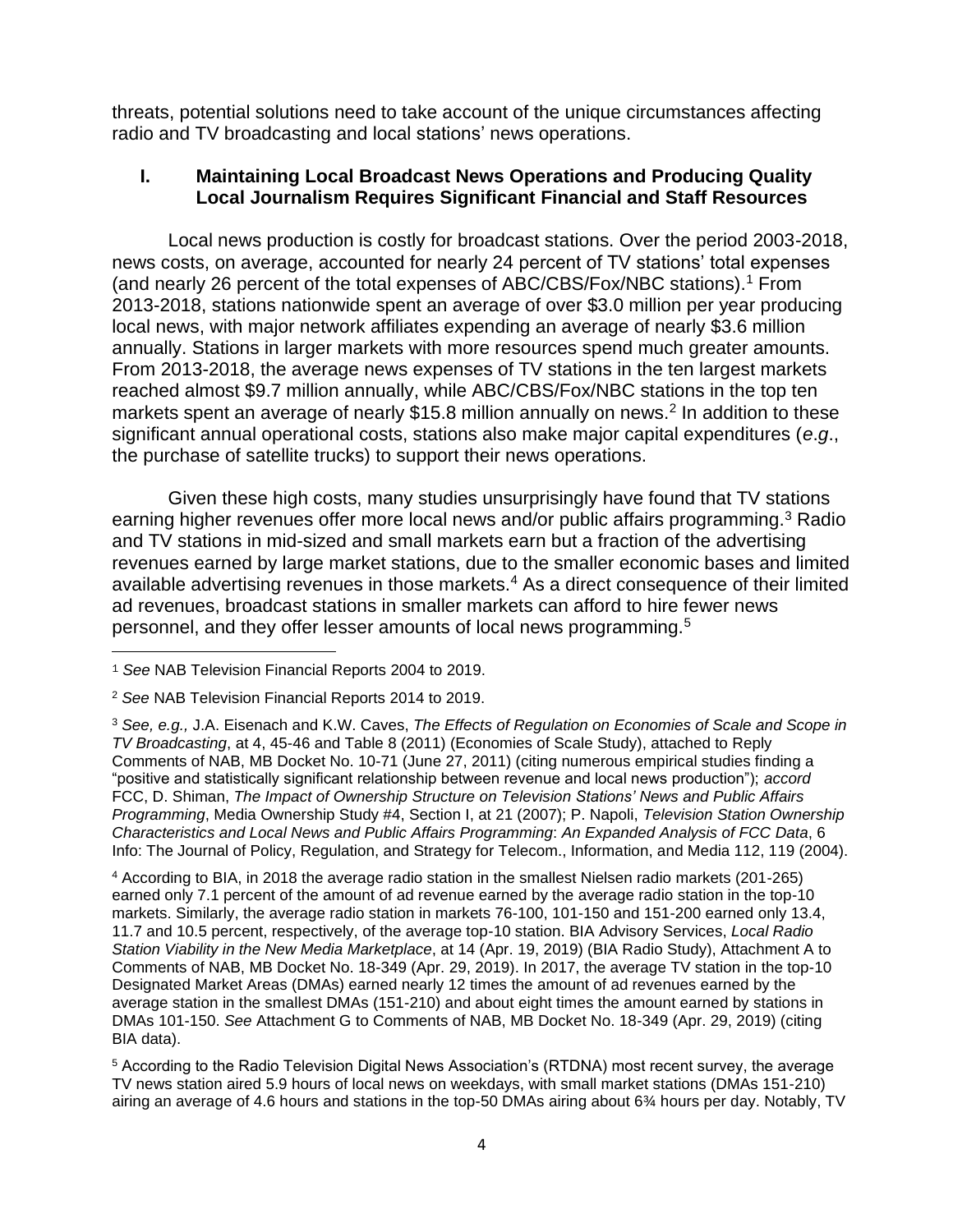threats, potential solutions need to take account of the unique circumstances affecting radio and TV broadcasting and local stations' news operations.

#### **I. Maintaining Local Broadcast News Operations and Producing Quality Local Journalism Requires Significant Financial and Staff Resources**

Local news production is costly for broadcast stations. Over the period 2003-2018, news costs, on average, accounted for nearly 24 percent of TV stations' total expenses (and nearly 26 percent of the total expenses of ABC/CBS/Fox/NBC stations).<sup>1</sup> From 2013-2018, stations nationwide spent an average of over \$3.0 million per year producing local news, with major network affiliates expending an average of nearly \$3.6 million annually. Stations in larger markets with more resources spend much greater amounts. From 2013-2018, the average news expenses of TV stations in the ten largest markets reached almost \$9.7 million annually, while ABC/CBS/Fox/NBC stations in the top ten markets spent an average of nearly \$15.8 million annually on news.<sup>2</sup> In addition to these significant annual operational costs, stations also make major capital expenditures (*e*.*g*., the purchase of satellite trucks) to support their news operations.

Given these high costs, many studies unsurprisingly have found that TV stations earning higher revenues offer more local news and/or public affairs programming.<sup>3</sup> Radio and TV stations in mid-sized and small markets earn but a fraction of the advertising revenues earned by large market stations, due to the smaller economic bases and limited available advertising revenues in those markets.<sup>4</sup> As a direct consequence of their limited ad revenues, broadcast stations in smaller markets can afford to hire fewer news personnel, and they offer lesser amounts of local news programming.<sup>5</sup>

<sup>4</sup> According to BIA, in 2018 the average radio station in the smallest Nielsen radio markets (201-265) earned only 7.1 percent of the amount of ad revenue earned by the average radio station in the top-10 markets. Similarly, the average radio station in markets 76-100, 101-150 and 151-200 earned only 13.4, 11.7 and 10.5 percent, respectively, of the average top-10 station. BIA Advisory Services, *Local Radio Station Viability in the New Media Marketplace*, at 14 (Apr. 19, 2019) (BIA Radio Study), Attachment A to Comments of NAB, MB Docket No. 18-349 (Apr. 29, 2019). In 2017, the average TV station in the top-10 Designated Market Areas (DMAs) earned nearly 12 times the amount of ad revenues earned by the average station in the smallest DMAs (151-210) and about eight times the amount earned by stations in DMAs 101-150. *See* Attachment G to Comments of NAB, MB Docket No. 18-349 (Apr. 29, 2019) (citing BIA data).

<sup>5</sup> According to the Radio Television Digital News Association's (RTDNA) most recent survey, the average TV news station aired 5.9 hours of local news on weekdays, with small market stations (DMAs 151-210) airing an average of 4.6 hours and stations in the top-50 DMAs airing about 6¾ hours per day. Notably, TV

<sup>1</sup> *See* NAB Television Financial Reports 2004 to 2019.

<sup>2</sup> *See* NAB Television Financial Reports 2014 to 2019.

<sup>3</sup> *See, e.g.,* J.A. Eisenach and K.W. Caves, *The Effects of Regulation on Economies of Scale and Scope in TV Broadcasting*, at 4, 45-46 and Table 8 (2011) (Economies of Scale Study), attached to Reply Comments of NAB, MB Docket No. 10-71 (June 27, 2011) (citing numerous empirical studies finding a "positive and statistically significant relationship between revenue and local news production"); *accord* FCC, D. Shiman, *The Impact of Ownership Structure on Television Stations' News and Public Affairs Programming*, Media Ownership Study #4, Section I, at 21 (2007); P. Napoli, *Television Station Ownership Characteristics and Local News and Public Affairs Programming*: *An Expanded Analysis of FCC Data*, 6 Info: The Journal of Policy, Regulation, and Strategy for Telecom., Information, and Media 112, 119 (2004).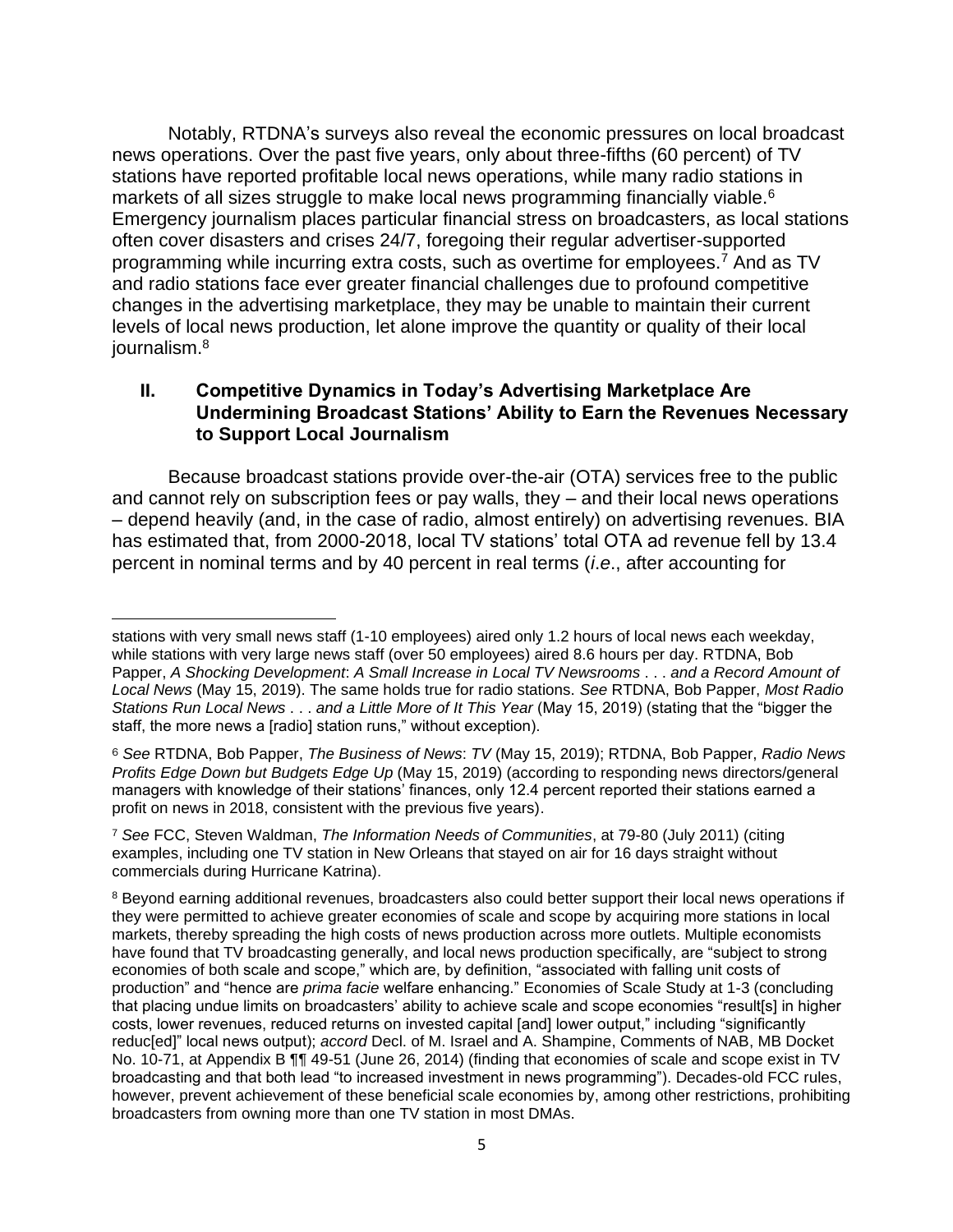Notably, RTDNA's surveys also reveal the economic pressures on local broadcast news operations. Over the past five years, only about three-fifths (60 percent) of TV stations have reported profitable local news operations, while many radio stations in markets of all sizes struggle to make local news programming financially viable.<sup>6</sup> Emergency journalism places particular financial stress on broadcasters, as local stations often cover disasters and crises 24/7, foregoing their regular advertiser-supported programming while incurring extra costs, such as overtime for employees.<sup>7</sup> And as TV and radio stations face ever greater financial challenges due to profound competitive changes in the advertising marketplace, they may be unable to maintain their current levels of local news production, let alone improve the quantity or quality of their local journalism.<sup>8</sup>

#### **II. Competitive Dynamics in Today's Advertising Marketplace Are Undermining Broadcast Stations' Ability to Earn the Revenues Necessary to Support Local Journalism**

Because broadcast stations provide over-the-air (OTA) services free to the public and cannot rely on subscription fees or pay walls, they – and their local news operations – depend heavily (and, in the case of radio, almost entirely) on advertising revenues. BIA has estimated that, from 2000-2018, local TV stations' total OTA ad revenue fell by 13.4 percent in nominal terms and by 40 percent in real terms (*i*.*e*., after accounting for

stations with very small news staff (1-10 employees) aired only 1.2 hours of local news each weekday, while stations with very large news staff (over 50 employees) aired 8.6 hours per day. RTDNA, Bob Papper, *A Shocking Development*: *A Small Increase in Local TV Newsrooms* . . . *and a Record Amount of Local News* (May 15, 2019). The same holds true for radio stations. *See* RTDNA, Bob Papper, *Most Radio Stations Run Local News* . . . *and a Little More of It This Year* (May 15, 2019) (stating that the "bigger the staff, the more news a [radio] station runs," without exception).

<sup>6</sup> *See* RTDNA, Bob Papper, *The Business of News*: *TV* (May 15, 2019); RTDNA, Bob Papper, *Radio News Profits Edge Down but Budgets Edge Up* (May 15, 2019) (according to responding news directors/general managers with knowledge of their stations' finances, only 12.4 percent reported their stations earned a profit on news in 2018, consistent with the previous five years).

<sup>7</sup> *See* FCC, Steven Waldman, *The Information Needs of Communities*, at 79-80 (July 2011) (citing examples, including one TV station in New Orleans that stayed on air for 16 days straight without commercials during Hurricane Katrina).

<sup>&</sup>lt;sup>8</sup> Beyond earning additional revenues, broadcasters also could better support their local news operations if they were permitted to achieve greater economies of scale and scope by acquiring more stations in local markets, thereby spreading the high costs of news production across more outlets. Multiple economists have found that TV broadcasting generally, and local news production specifically, are "subject to strong economies of both scale and scope," which are, by definition, "associated with falling unit costs of production" and "hence are *prima facie* welfare enhancing." Economies of Scale Study at 1-3 (concluding that placing undue limits on broadcasters' ability to achieve scale and scope economies "result[s] in higher costs, lower revenues, reduced returns on invested capital [and] lower output," including "significantly reduc[ed]" local news output); *accord* Decl. of M. Israel and A. Shampine, Comments of NAB, MB Docket No. 10-71, at Appendix B  $\P$  49-51 (June 26, 2014) (finding that economies of scale and scope exist in TV broadcasting and that both lead "to increased investment in news programming"). Decades-old FCC rules, however, prevent achievement of these beneficial scale economies by, among other restrictions, prohibiting broadcasters from owning more than one TV station in most DMAs.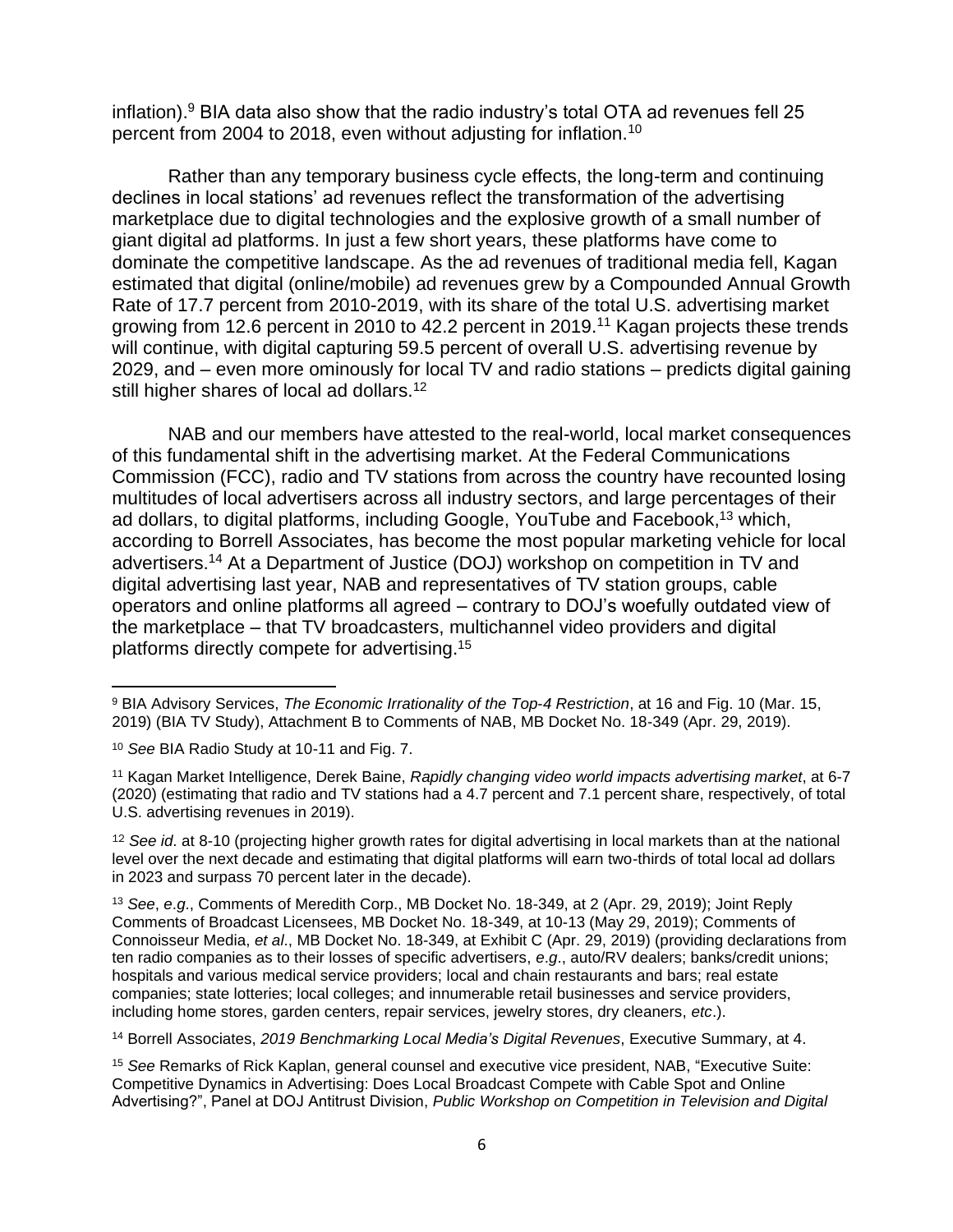inflation).<sup>9</sup> BIA data also show that the radio industry's total OTA ad revenues fell 25 percent from 2004 to 2018, even without adjusting for inflation.<sup>10</sup>

Rather than any temporary business cycle effects, the long-term and continuing declines in local stations' ad revenues reflect the transformation of the advertising marketplace due to digital technologies and the explosive growth of a small number of giant digital ad platforms. In just a few short years, these platforms have come to dominate the competitive landscape. As the ad revenues of traditional media fell, Kagan estimated that digital (online/mobile) ad revenues grew by a Compounded Annual Growth Rate of 17.7 percent from 2010-2019, with its share of the total U.S. advertising market growing from 12.6 percent in 2010 to 42.2 percent in 2019.<sup>11</sup> Kagan projects these trends will continue, with digital capturing 59.5 percent of overall U.S. advertising revenue by 2029, and – even more ominously for local TV and radio stations – predicts digital gaining still higher shares of local ad dollars.<sup>12</sup>

NAB and our members have attested to the real-world, local market consequences of this fundamental shift in the advertising market. At the Federal Communications Commission (FCC), radio and TV stations from across the country have recounted losing multitudes of local advertisers across all industry sectors, and large percentages of their ad dollars, to digital platforms, including Google, YouTube and Facebook, <sup>13</sup> which, according to Borrell Associates, has become the most popular marketing vehicle for local advertisers.<sup>14</sup> At a Department of Justice (DOJ) workshop on competition in TV and digital advertising last year, NAB and representatives of TV station groups, cable operators and online platforms all agreed – contrary to DOJ's woefully outdated view of the marketplace – that TV broadcasters, multichannel video providers and digital platforms directly compete for advertising.<sup>15</sup>

<sup>9</sup> BIA Advisory Services, *The Economic Irrationality of the Top*-*4 Restriction*, at 16 and Fig. 10 (Mar. 15, 2019) (BIA TV Study), Attachment B to Comments of NAB, MB Docket No. 18-349 (Apr. 29, 2019).

<sup>10</sup> *See* BIA Radio Study at 10-11 and Fig. 7.

<sup>11</sup> Kagan Market Intelligence, Derek Baine, *Rapidly changing video world impacts advertising market*, at 6-7 (2020) (estimating that radio and TV stations had a 4.7 percent and 7.1 percent share, respectively, of total U.S. advertising revenues in 2019).

<sup>12</sup> *See id*. at 8-10 (projecting higher growth rates for digital advertising in local markets than at the national level over the next decade and estimating that digital platforms will earn two-thirds of total local ad dollars in 2023 and surpass 70 percent later in the decade).

<sup>13</sup> *See*, *e*.*g*., Comments of Meredith Corp., MB Docket No. 18-349, at 2 (Apr. 29, 2019); Joint Reply Comments of Broadcast Licensees, MB Docket No. 18-349, at 10-13 (May 29, 2019); Comments of Connoisseur Media, *et al*., MB Docket No. 18-349, at Exhibit C (Apr. 29, 2019) (providing declarations from ten radio companies as to their losses of specific advertisers, *e*.*g*., auto/RV dealers; banks/credit unions; hospitals and various medical service providers; local and chain restaurants and bars; real estate companies; state lotteries; local colleges; and innumerable retail businesses and service providers, including home stores, garden centers, repair services, jewelry stores, dry cleaners, *etc*.).

<sup>14</sup> Borrell Associates, *2019 Benchmarking Local Media's Digital Revenues*, Executive Summary, at 4.

<sup>15</sup> *See* Remarks of Rick Kaplan, general counsel and executive vice president, NAB, "Executive Suite: Competitive Dynamics in Advertising: Does Local Broadcast Compete with Cable Spot and Online Advertising?", Panel at DOJ Antitrust Division, *Public Workshop on Competition in Television and Digital*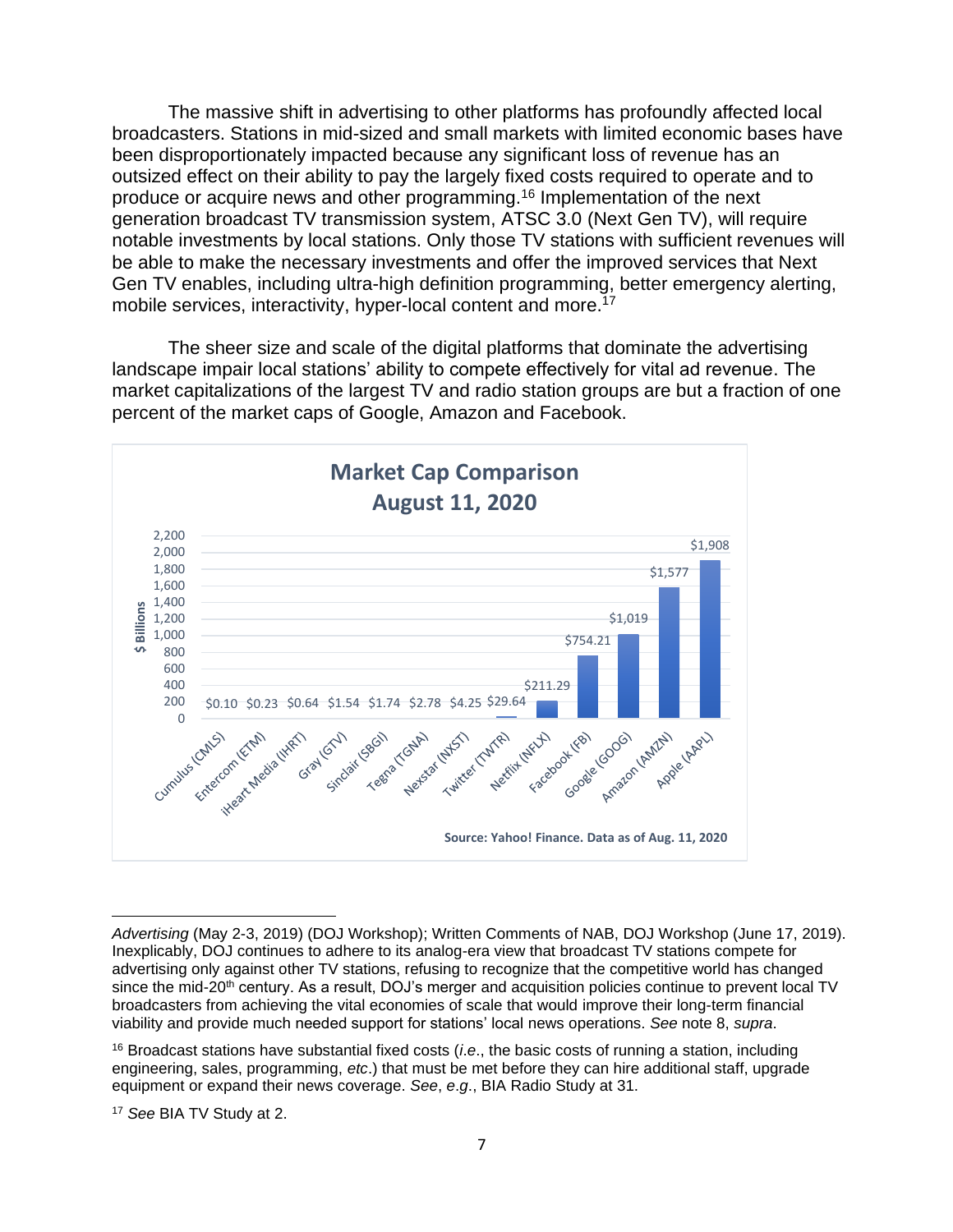The massive shift in advertising to other platforms has profoundly affected local broadcasters. Stations in mid-sized and small markets with limited economic bases have been disproportionately impacted because any significant loss of revenue has an outsized effect on their ability to pay the largely fixed costs required to operate and to produce or acquire news and other programming.<sup>16</sup> Implementation of the next generation broadcast TV transmission system, ATSC 3.0 (Next Gen TV), will require notable investments by local stations. Only those TV stations with sufficient revenues will be able to make the necessary investments and offer the improved services that Next Gen TV enables, including ultra-high definition programming, better emergency alerting, mobile services, interactivity, hyper-local content and more.<sup>17</sup>

The sheer size and scale of the digital platforms that dominate the advertising landscape impair local stations' ability to compete effectively for vital ad revenue. The market capitalizations of the largest TV and radio station groups are but a fraction of one percent of the market caps of Google, Amazon and Facebook.



*Advertising* (May 2-3, 2019) (DOJ Workshop); Written Comments of NAB, DOJ Workshop (June 17, 2019). Inexplicably, DOJ continues to adhere to its analog-era view that broadcast TV stations compete for advertising only against other TV stations, refusing to recognize that the competitive world has changed since the mid-20<sup>th</sup> century. As a result, DOJ's merger and acquisition policies continue to prevent local TV broadcasters from achieving the vital economies of scale that would improve their long-term financial viability and provide much needed support for stations' local news operations. *See* note 8, *supra*.

<sup>16</sup> Broadcast stations have substantial fixed costs (*i*.*e*., the basic costs of running a station, including engineering, sales, programming, *etc*.) that must be met before they can hire additional staff, upgrade equipment or expand their news coverage. *See*, *e*.*g*., BIA Radio Study at 31.

<sup>17</sup> *See* BIA TV Study at 2.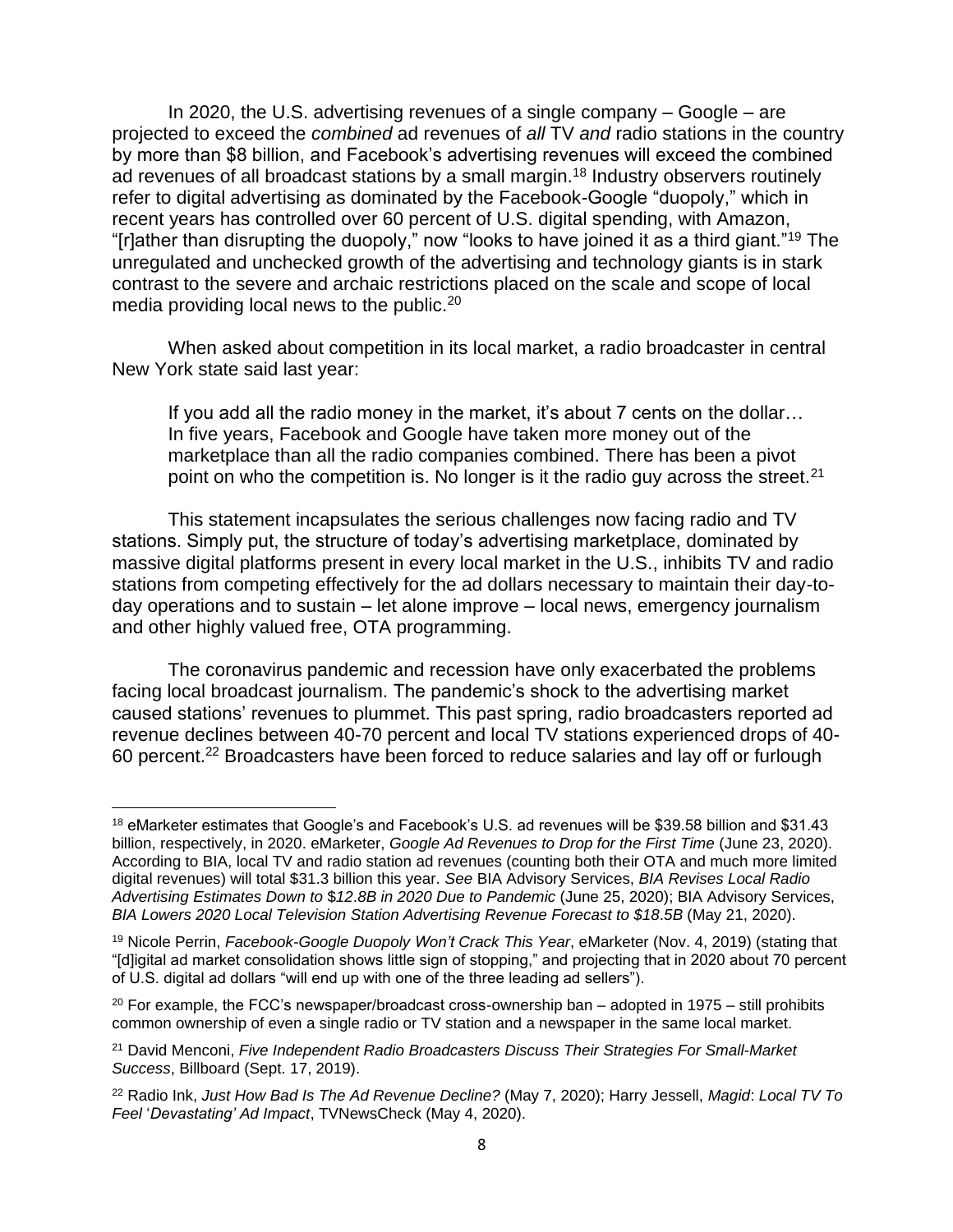In 2020, the U.S. advertising revenues of a single company – Google – are projected to exceed the *combined* ad revenues of *all* TV *and* radio stations in the country by more than \$8 billion, and Facebook's advertising revenues will exceed the combined ad revenues of all broadcast stations by a small margin.<sup>18</sup> Industry observers routinely refer to digital advertising as dominated by the Facebook-Google "duopoly," which in recent years has controlled over 60 percent of U.S. digital spending, with Amazon, "[r]ather than disrupting the duopoly," now "looks to have joined it as a third giant."<sup>19</sup> The unregulated and unchecked growth of the advertising and technology giants is in stark contrast to the severe and archaic restrictions placed on the scale and scope of local media providing local news to the public.<sup>20</sup>

When asked about competition in its local market, a radio broadcaster in central New York state said last year:

If you add all the radio money in the market, it's about 7 cents on the dollar… In five years, Facebook and Google have taken more money out of the marketplace than all the radio companies combined. There has been a pivot point on who the competition is. No longer is it the radio guy across the street.<sup>21</sup>

This statement incapsulates the serious challenges now facing radio and TV stations. Simply put, the structure of today's advertising marketplace, dominated by massive digital platforms present in every local market in the U.S., inhibits TV and radio stations from competing effectively for the ad dollars necessary to maintain their day-today operations and to sustain – let alone improve – local news, emergency journalism and other highly valued free, OTA programming.

The coronavirus pandemic and recession have only exacerbated the problems facing local broadcast journalism. The pandemic's shock to the advertising market caused stations' revenues to plummet. This past spring, radio broadcasters reported ad revenue declines between 40-70 percent and local TV stations experienced drops of 40- 60 percent.<sup>22</sup> Broadcasters have been forced to reduce salaries and lay off or furlough

<sup>18</sup> eMarketer estimates that Google's and Facebook's U.S. ad revenues will be \$39.58 billion and \$31.43 billion, respectively, in 2020. eMarketer, *Google Ad Revenues to Drop for the First Time* (June 23, 2020). According to BIA, local TV and radio station ad revenues (counting both their OTA and much more limited digital revenues) will total \$31.3 billion this year. *See* BIA Advisory Services, *BIA Revises Local Radio Advertising Estimates Down to* \$*12*.*8B in 2020 Due to Pandemic* (June 25, 2020); BIA Advisory Services, *BIA Lowers 2020 Local Television Station Advertising Revenue Forecast to \$18*.*5B* (May 21, 2020).

<sup>19</sup> Nicole Perrin, *Facebook*-*Google Duopoly Won't Crack This Year*, eMarketer (Nov. 4, 2019) (stating that "[d]igital ad market consolidation shows little sign of stopping," and projecting that in 2020 about 70 percent of U.S. digital ad dollars "will end up with one of the three leading ad sellers").

 $20$  For example, the FCC's newspaper/broadcast cross-ownership ban – adopted in 1975 – still prohibits common ownership of even a single radio or TV station and a newspaper in the same local market.

<sup>21</sup> David Menconi, *Five Independent Radio Broadcasters Discuss Their Strategies For Small*-*Market Success*, Billboard (Sept. 17, 2019).

<sup>22</sup> Radio Ink, *Just How Bad Is The Ad Revenue Decline?* (May 7, 2020); Harry Jessell, *Magid*: *Local TV To Feel* '*Devastating' Ad Impact*, TVNewsCheck (May 4, 2020).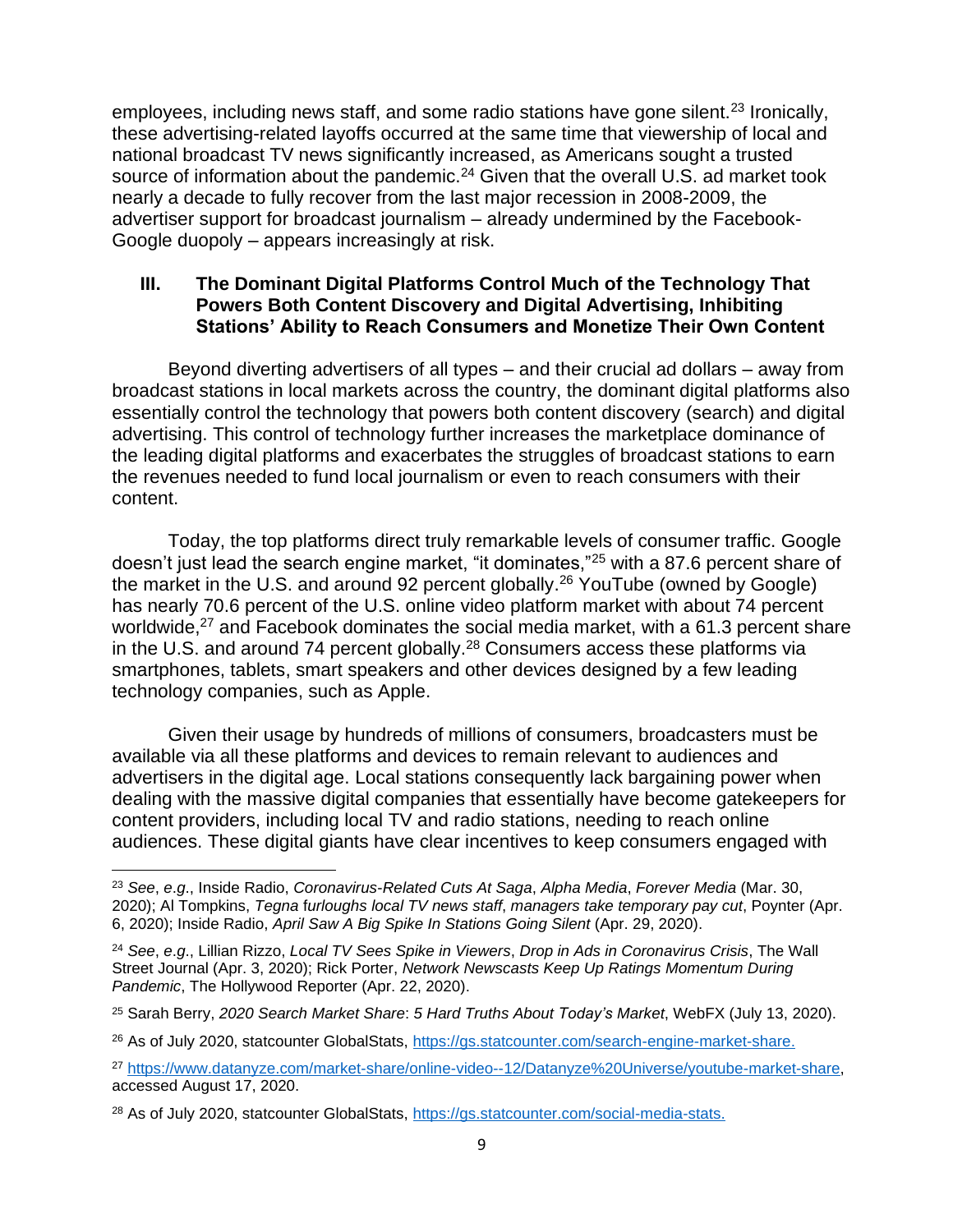employees, including news staff, and some radio stations have gone silent.<sup>23</sup> Ironically, these advertising-related layoffs occurred at the same time that viewership of local and national broadcast TV news significantly increased, as Americans sought a trusted source of information about the pandemic.<sup>24</sup> Given that the overall U.S. ad market took nearly a decade to fully recover from the last major recession in 2008-2009, the advertiser support for broadcast journalism – already undermined by the Facebook-Google duopoly – appears increasingly at risk.

#### **III. The Dominant Digital Platforms Control Much of the Technology That Powers Both Content Discovery and Digital Advertising, Inhibiting Stations' Ability to Reach Consumers and Monetize Their Own Content**

Beyond diverting advertisers of all types – and their crucial ad dollars – away from broadcast stations in local markets across the country, the dominant digital platforms also essentially control the technology that powers both content discovery (search) and digital advertising. This control of technology further increases the marketplace dominance of the leading digital platforms and exacerbates the struggles of broadcast stations to earn the revenues needed to fund local journalism or even to reach consumers with their content.

Today, the top platforms direct truly remarkable levels of consumer traffic. Google doesn't just lead the search engine market, "it dominates,"<sup>25</sup> with a 87.6 percent share of the market in the U.S. and around 92 percent globally.<sup>26</sup> YouTube (owned by Google) has nearly 70.6 percent of the U.S. online video platform market with about 74 percent worldwide,<sup>27</sup> and Facebook dominates the social media market, with a 61.3 percent share in the U.S. and around 74 percent globally.<sup>28</sup> Consumers access these platforms via smartphones, tablets, smart speakers and other devices designed by a few leading technology companies, such as Apple.

Given their usage by hundreds of millions of consumers, broadcasters must be available via all these platforms and devices to remain relevant to audiences and advertisers in the digital age. Local stations consequently lack bargaining power when dealing with the massive digital companies that essentially have become gatekeepers for content providers, including local TV and radio stations, needing to reach online audiences. These digital giants have clear incentives to keep consumers engaged with

<sup>23</sup> *See*, *e*.*g*., Inside Radio, *Coronavirus*-*Related Cuts At Saga*, *Alpha Media*, *Forever Media* (Mar. 30, 2020); Al Tompkins, *Tegna* f*urloughs local TV news staff*, *managers take temporary pay cut*, Poynter (Apr. 6, 2020); Inside Radio, *April Saw A Big Spike In Stations Going Silent* (Apr. 29, 2020).

<sup>24</sup> *See*, *e*.*g*., Lillian Rizzo, *Local TV Sees Spike in Viewers*, *Drop in Ads in Coronavirus Crisis*, The Wall Street Journal (Apr. 3, 2020); Rick Porter, *Network Newscasts Keep Up Ratings Momentum During Pandemic*, The Hollywood Reporter (Apr. 22, 2020).

<sup>25</sup> Sarah Berry, *2020 Search Market Share*: *5 Hard Truths About Today's Market*, WebFX (July 13, 2020).

<sup>&</sup>lt;sup>26</sup> As of July 2020, statcounter GlobalStats, [https://gs.statcounter.com/search-engine-market-share.](https://gs.statcounter.com/search-engine-market-share)

<sup>27</sup> [https://www.datanyze.com/market-share/online-video--12/Datanyze%20Universe/youtube-market-share,](https://www.datanyze.com/market-share/online-video--12/Datanyze%20Universe/youtube-market-share) accessed August 17, 2020.

<sup>28</sup> As of July 2020, statcounter GlobalStats, [https://gs.statcounter.com/social-media-stats.](https://gs.statcounter.com/social-media-stats)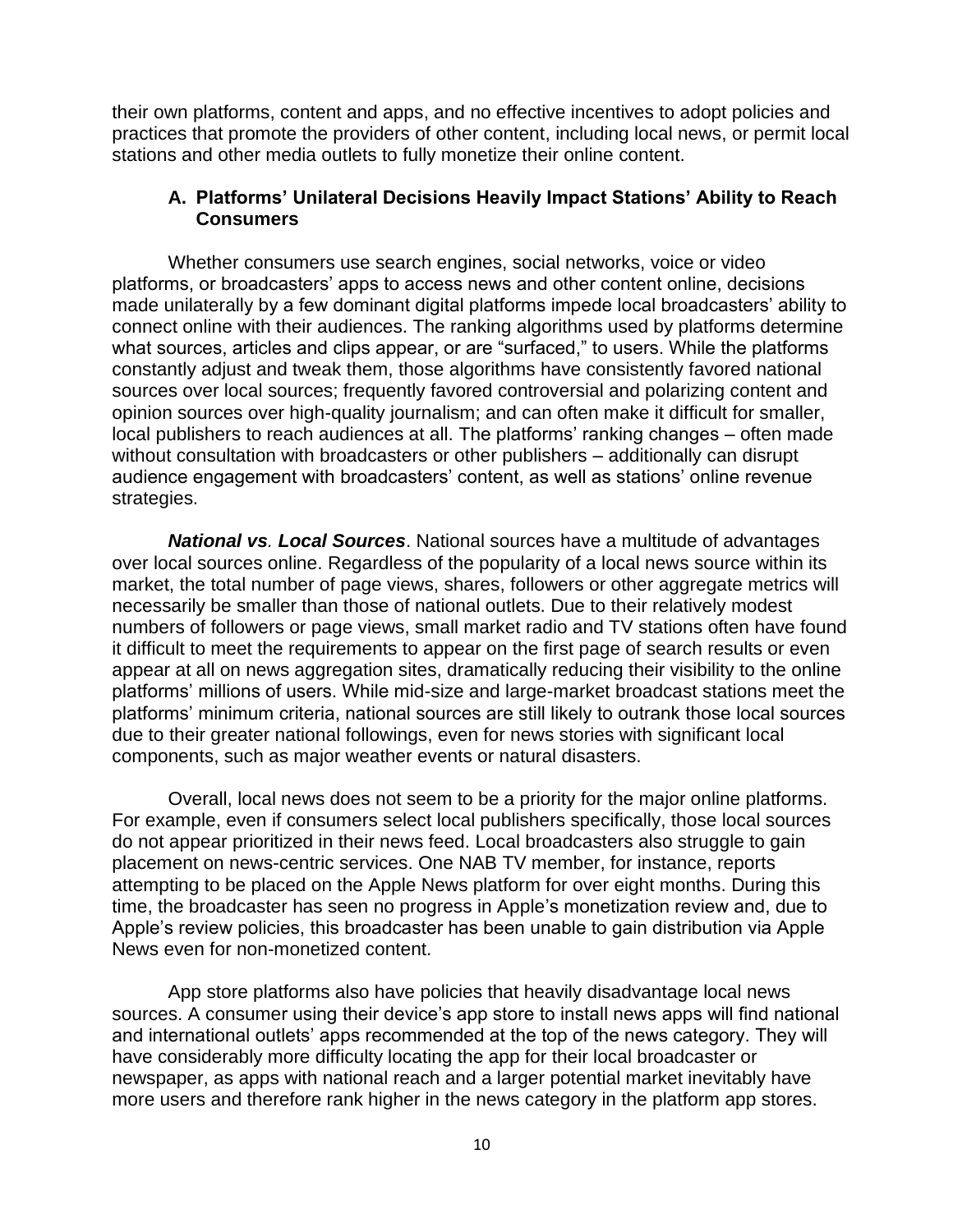their own platforms, content and apps, and no effective incentives to adopt policies and practices that promote the providers of other content, including local news, or permit local stations and other media outlets to fully monetize their online content.

#### **A. Platforms' Unilateral Decisions Heavily Impact Stations' Ability to Reach Consumers**

Whether consumers use search engines, social networks, voice or video platforms, or broadcasters' apps to access news and other content online, decisions made unilaterally by a few dominant digital platforms impede local broadcasters' ability to connect online with their audiences. The ranking algorithms used by platforms determine what sources, articles and clips appear, or are "surfaced," to users. While the platforms constantly adjust and tweak them, those algorithms have consistently favored national sources over local sources; frequently favored controversial and polarizing content and opinion sources over high-quality journalism; and can often make it difficult for smaller, local publishers to reach audiences at all. The platforms' ranking changes – often made without consultation with broadcasters or other publishers – additionally can disrupt audience engagement with broadcasters' content, as well as stations' online revenue strategies.

*National vs. Local Sources*. National sources have a multitude of advantages over local sources online. Regardless of the popularity of a local news source within its market, the total number of page views, shares, followers or other aggregate metrics will necessarily be smaller than those of national outlets. Due to their relatively modest numbers of followers or page views, small market radio and TV stations often have found it difficult to meet the requirements to appear on the first page of search results or even appear at all on news aggregation sites, dramatically reducing their visibility to the online platforms' millions of users. While mid-size and large-market broadcast stations meet the platforms' minimum criteria, national sources are still likely to outrank those local sources due to their greater national followings, even for news stories with significant local components, such as major weather events or natural disasters.

Overall, local news does not seem to be a priority for the major online platforms. For example, even if consumers select local publishers specifically, those local sources do not appear prioritized in their news feed. Local broadcasters also struggle to gain placement on news-centric services. One NAB TV member, for instance, reports attempting to be placed on the Apple News platform for over eight months. During this time, the broadcaster has seen no progress in Apple's monetization review and, due to Apple's review policies, this broadcaster has been unable to gain distribution via Apple News even for non-monetized content.

App store platforms also have policies that heavily disadvantage local news sources. A consumer using their device's app store to install news apps will find national and international outlets' apps recommended at the top of the news category. They will have considerably more difficulty locating the app for their local broadcaster or newspaper, as apps with national reach and a larger potential market inevitably have more users and therefore rank higher in the news category in the platform app stores.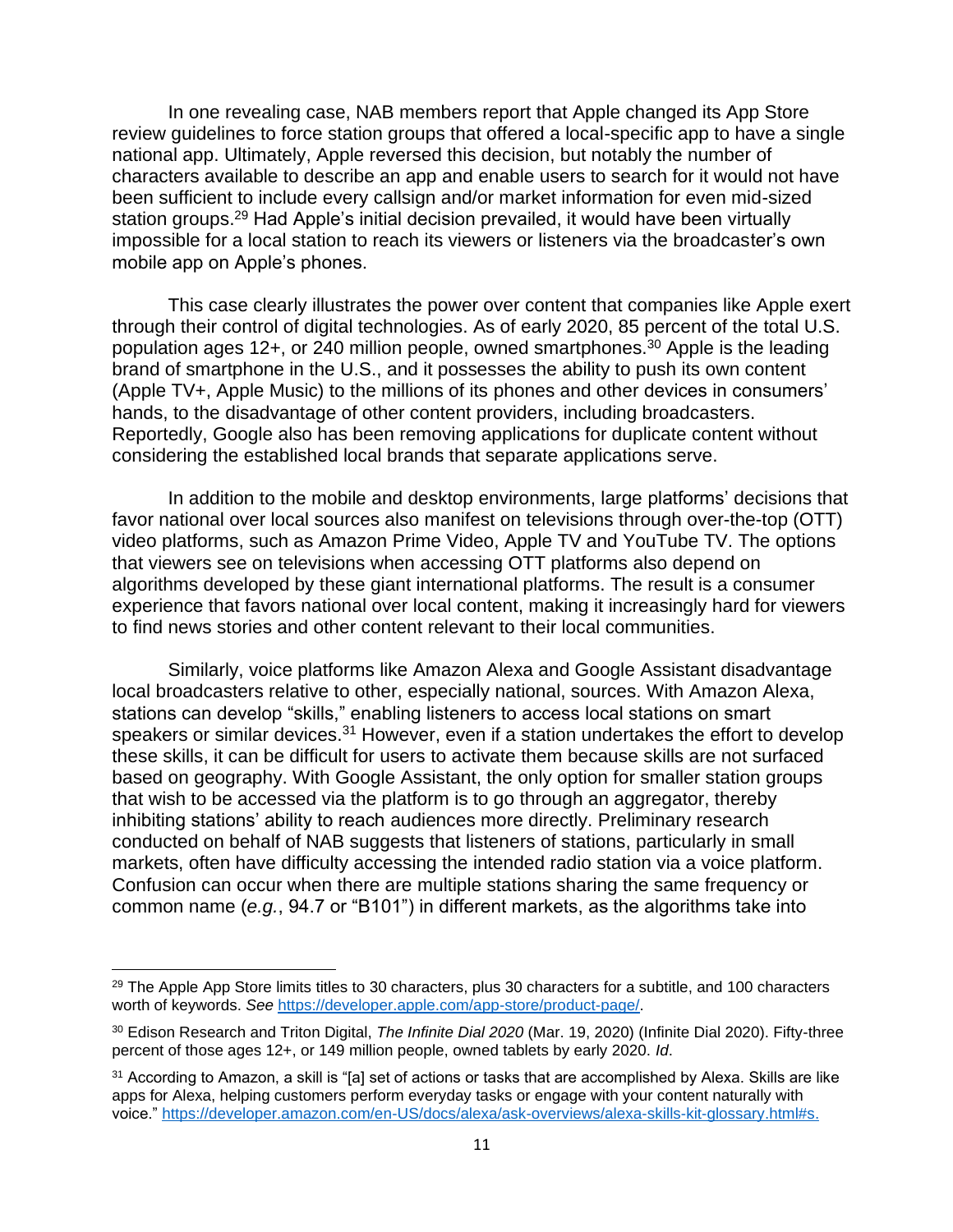In one revealing case, NAB members report that Apple changed its App Store review guidelines to force station groups that offered a local-specific app to have a single national app. Ultimately, Apple reversed this decision, but notably the number of characters available to describe an app and enable users to search for it would not have been sufficient to include every callsign and/or market information for even mid-sized station groups.<sup>29</sup> Had Apple's initial decision prevailed, it would have been virtually impossible for a local station to reach its viewers or listeners via the broadcaster's own mobile app on Apple's phones.

This case clearly illustrates the power over content that companies like Apple exert through their control of digital technologies. As of early 2020, 85 percent of the total U.S. population ages 12+, or 240 million people, owned smartphones.<sup>30</sup> Apple is the leading brand of smartphone in the U.S., and it possesses the ability to push its own content (Apple TV+, Apple Music) to the millions of its phones and other devices in consumers' hands, to the disadvantage of other content providers, including broadcasters. Reportedly, Google also has been removing applications for duplicate content without considering the established local brands that separate applications serve.

In addition to the mobile and desktop environments, large platforms' decisions that favor national over local sources also manifest on televisions through over-the-top (OTT) video platforms, such as Amazon Prime Video, Apple TV and YouTube TV. The options that viewers see on televisions when accessing OTT platforms also depend on algorithms developed by these giant international platforms. The result is a consumer experience that favors national over local content, making it increasingly hard for viewers to find news stories and other content relevant to their local communities.

Similarly, voice platforms like Amazon Alexa and Google Assistant disadvantage local broadcasters relative to other, especially national, sources. With Amazon Alexa, stations can develop "skills," enabling listeners to access local stations on smart speakers or similar devices.<sup>31</sup> However, even if a station undertakes the effort to develop these skills, it can be difficult for users to activate them because skills are not surfaced based on geography. With Google Assistant, the only option for smaller station groups that wish to be accessed via the platform is to go through an aggregator, thereby inhibiting stations' ability to reach audiences more directly. Preliminary research conducted on behalf of NAB suggests that listeners of stations, particularly in small markets, often have difficulty accessing the intended radio station via a voice platform. Confusion can occur when there are multiple stations sharing the same frequency or common name (*e.g.*, 94.7 or "B101") in different markets, as the algorithms take into

<sup>&</sup>lt;sup>29</sup> The Apple App Store limits titles to 30 characters, plus 30 characters for a subtitle, and 100 characters worth of keywords. *See* [https://developer.apple.com/app-store/product-page/.](https://developer.apple.com/app-store/product-page/)

<sup>30</sup> Edison Research and Triton Digital, *The Infinite Dial 2020* (Mar. 19, 2020) (Infinite Dial 2020). Fifty-three percent of those ages 12+, or 149 million people, owned tablets by early 2020. *Id*.

<sup>&</sup>lt;sup>31</sup> According to Amazon, a skill is "[a] set of actions or tasks that are accomplished by Alexa. Skills are like apps for Alexa, helping customers perform everyday tasks or engage with your content naturally with voice." [https://developer.amazon.com/en-US/docs/alexa/ask-overviews/alexa-skills-kit-glossary.html#s.](https://developer.amazon.com/en-US/docs/alexa/ask-overviews/alexa-skills-kit-glossary.html#s)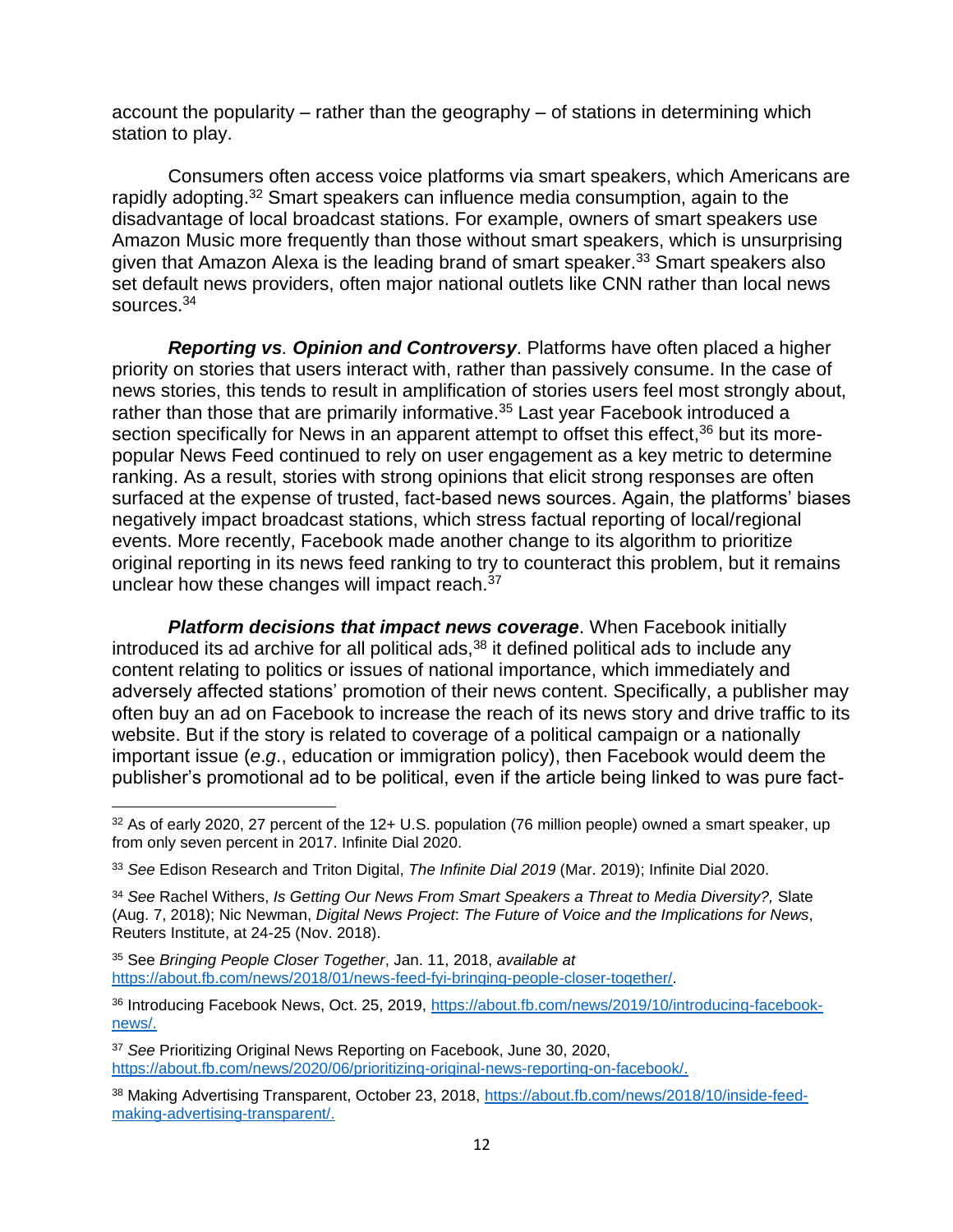account the popularity – rather than the geography – of stations in determining which station to play.

Consumers often access voice platforms via smart speakers, which Americans are rapidly adopting.<sup>32</sup> Smart speakers can influence media consumption, again to the disadvantage of local broadcast stations. For example, owners of smart speakers use Amazon Music more frequently than those without smart speakers, which is unsurprising given that Amazon Alexa is the leading brand of smart speaker.<sup>33</sup> Smart speakers also set default news providers, often major national outlets like CNN rather than local news sources.<sup>34</sup>

*Reporting vs. Opinion and Controversy*. Platforms have often placed a higher priority on stories that users interact with, rather than passively consume. In the case of news stories, this tends to result in amplification of stories users feel most strongly about, rather than those that are primarily informative.<sup>35</sup> Last year Facebook introduced a section specifically for News in an apparent attempt to offset this effect,<sup>36</sup> but its morepopular News Feed continued to rely on user engagement as a key metric to determine ranking. As a result, stories with strong opinions that elicit strong responses are often surfaced at the expense of trusted, fact-based news sources. Again, the platforms' biases negatively impact broadcast stations, which stress factual reporting of local/regional events. More recently, Facebook made another change to its algorithm to prioritize original reporting in its news feed ranking to try to counteract this problem, but it remains unclear how these changes will impact reach.<sup>37</sup>

*Platform decisions that impact news coverage*. When Facebook initially introduced its ad archive for all political ads,<sup>38</sup> it defined political ads to include any content relating to politics or issues of national importance, which immediately and adversely affected stations' promotion of their news content. Specifically, a publisher may often buy an ad on Facebook to increase the reach of its news story and drive traffic to its website. But if the story is related to coverage of a political campaign or a nationally important issue (*e*.*g*., education or immigration policy), then Facebook would deem the publisher's promotional ad to be political, even if the article being linked to was pure fact-

<sup>32</sup> As of early 2020, 27 percent of the 12+ U.S. population (76 million people) owned a smart speaker, up from only seven percent in 2017. Infinite Dial 2020.

<sup>33</sup> *See* Edison Research and Triton Digital, *The Infinite Dial 2019* (Mar. 2019); Infinite Dial 2020.

<sup>34</sup> *See* Rachel Withers, *Is Getting Our News From Smart Speakers a Threat to Media Diversity?,* Slate (Aug. 7, 2018); Nic Newman, *Digital News Project*: *The Future of Voice and the Implications for News*, Reuters Institute, at 24-25 (Nov. 2018).

<sup>35</sup> See *Bringing People Closer Together*, Jan. 11, 2018, *available at*  [https://about.fb.com/news/2018/01/news-feed-fyi-bringing-people-closer-together/.](https://about.fb.com/news/2018/01/news-feed-fyi-bringing-people-closer-together/)

<sup>36</sup> Introducing Facebook News, Oct. 25, 2019, [https://about.fb.com/news/2019/10/introducing-facebook](https://about.fb.com/news/2019/10/introducing-facebook-news/)[news/.](https://about.fb.com/news/2019/10/introducing-facebook-news/)

<sup>37</sup> *See* Prioritizing Original News Reporting on Facebook, June 30, 2020, [https://about.fb.com/news/2020/06/prioritizing-original-news-reporting-on-facebook/.](https://about.fb.com/news/2020/06/prioritizing-original-news-reporting-on-facebook/)

<sup>38</sup> Making Advertising Transparent, October 23, 2018, [https://about.fb.com/news/2018/10/inside-feed](https://about.fb.com/news/2018/10/inside-feed-making-advertising-transparent/)[making-advertising-transparent/.](https://about.fb.com/news/2018/10/inside-feed-making-advertising-transparent/)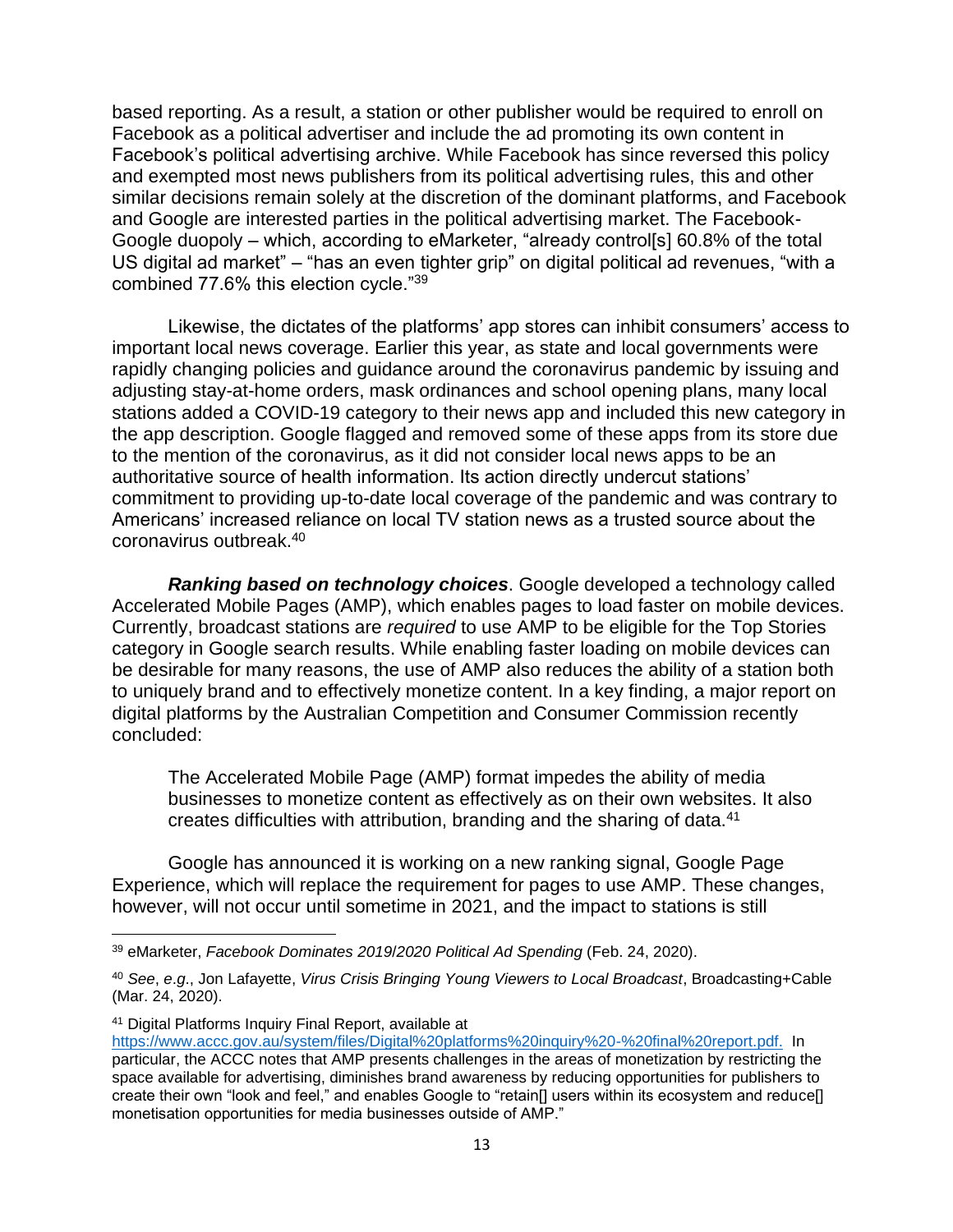based reporting. As a result, a station or other publisher would be required to enroll on Facebook as a political advertiser and include the ad promoting its own content in Facebook's political advertising archive. While Facebook has since reversed this policy and exempted most news publishers from its political advertising rules, this and other similar decisions remain solely at the discretion of the dominant platforms, and Facebook and Google are interested parties in the political advertising market. The Facebook-Google duopoly – which, according to eMarketer, "already control[s] 60.8% of the total US digital ad market" – "has an even tighter grip" on digital political ad revenues, "with a combined 77.6% this election cycle."<sup>39</sup>

Likewise, the dictates of the platforms' app stores can inhibit consumers' access to important local news coverage. Earlier this year, as state and local governments were rapidly changing policies and guidance around the coronavirus pandemic by issuing and adjusting stay-at-home orders, mask ordinances and school opening plans, many local stations added a COVID-19 category to their news app and included this new category in the app description. Google flagged and removed some of these apps from its store due to the mention of the coronavirus, as it did not consider local news apps to be an authoritative source of health information. Its action directly undercut stations' commitment to providing up-to-date local coverage of the pandemic and was contrary to Americans' increased reliance on local TV station news as a trusted source about the coronavirus outbreak.<sup>40</sup>

*Ranking based on technology choices*. Google developed a technology called Accelerated Mobile Pages (AMP), which enables pages to load faster on mobile devices. Currently, broadcast stations are *required* to use AMP to be eligible for the Top Stories category in Google search results. While enabling faster loading on mobile devices can be desirable for many reasons, the use of AMP also reduces the ability of a station both to uniquely brand and to effectively monetize content. In a key finding, a major report on digital platforms by the Australian Competition and Consumer Commission recently concluded:

The Accelerated Mobile Page (AMP) format impedes the ability of media businesses to monetize content as effectively as on their own websites. It also creates difficulties with attribution, branding and the sharing of data.<sup>41</sup>

Google has announced it is working on a new ranking signal, Google Page Experience, which will replace the requirement for pages to use AMP. These changes, however, will not occur until sometime in 2021, and the impact to stations is still

<sup>41</sup> Digital Platforms Inquiry Final Report, available at

<sup>39</sup> eMarketer, *Facebook Dominates 2019*/*2020 Political Ad Spending* (Feb. 24, 2020).

<sup>40</sup> *See*, *e*.*g*., Jon Lafayette, *Virus Crisis Bringing Young Viewers to Local Broadcast*, Broadcasting+Cable (Mar. 24, 2020).

[https://www.accc.gov.au/system/files/Digital%20platforms%20inquiry%20-%20final%20report.pdf.](https://www.accc.gov.au/system/files/Digital%20platforms%20inquiry%20-%20final%20report.pdf) In particular, the ACCC notes that AMP presents challenges in the areas of monetization by restricting the space available for advertising, diminishes brand awareness by reducing opportunities for publishers to create their own "look and feel," and enables Google to "retain[] users within its ecosystem and reduce[] monetisation opportunities for media businesses outside of AMP."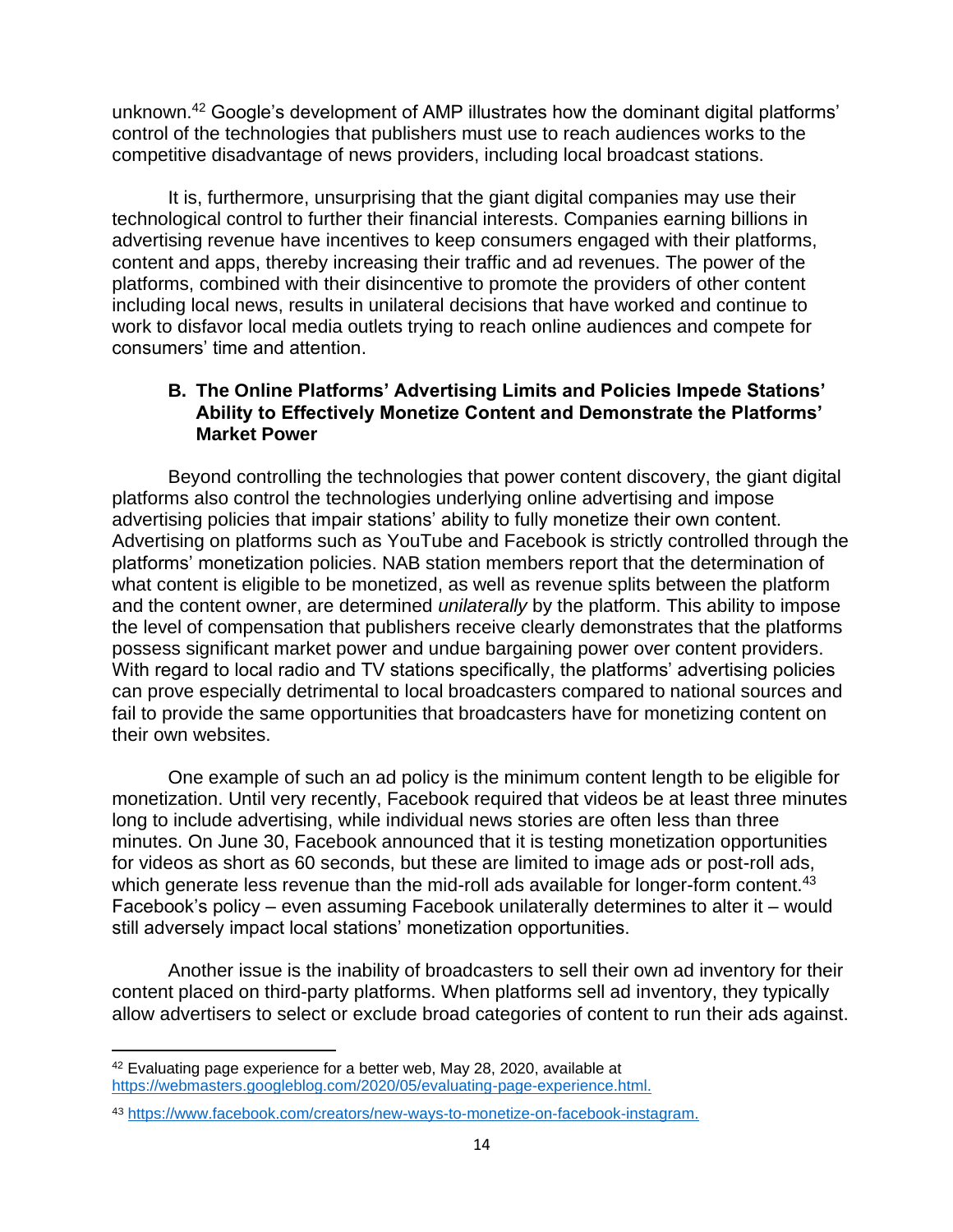unknown.<sup>42</sup> Google's development of AMP illustrates how the dominant digital platforms' control of the technologies that publishers must use to reach audiences works to the competitive disadvantage of news providers, including local broadcast stations.

It is, furthermore, unsurprising that the giant digital companies may use their technological control to further their financial interests. Companies earning billions in advertising revenue have incentives to keep consumers engaged with their platforms, content and apps, thereby increasing their traffic and ad revenues. The power of the platforms, combined with their disincentive to promote the providers of other content including local news, results in unilateral decisions that have worked and continue to work to disfavor local media outlets trying to reach online audiences and compete for consumers' time and attention.

## **B. The Online Platforms' Advertising Limits and Policies Impede Stations' Ability to Effectively Monetize Content and Demonstrate the Platforms' Market Power**

Beyond controlling the technologies that power content discovery, the giant digital platforms also control the technologies underlying online advertising and impose advertising policies that impair stations' ability to fully monetize their own content. Advertising on platforms such as YouTube and Facebook is strictly controlled through the platforms' monetization policies. NAB station members report that the determination of what content is eligible to be monetized, as well as revenue splits between the platform and the content owner, are determined *unilaterally* by the platform. This ability to impose the level of compensation that publishers receive clearly demonstrates that the platforms possess significant market power and undue bargaining power over content providers. With regard to local radio and TV stations specifically, the platforms' advertising policies can prove especially detrimental to local broadcasters compared to national sources and fail to provide the same opportunities that broadcasters have for monetizing content on their own websites.

One example of such an ad policy is the minimum content length to be eligible for monetization. Until very recently, Facebook required that videos be at least three minutes long to include advertising, while individual news stories are often less than three minutes. On June 30, Facebook announced that it is testing monetization opportunities for videos as short as 60 seconds, but these are limited to image ads or post-roll ads, which generate less revenue than the mid-roll ads available for longer-form content.<sup>43</sup> Facebook's policy – even assuming Facebook unilaterally determines to alter it – would still adversely impact local stations' monetization opportunities.

Another issue is the inability of broadcasters to sell their own ad inventory for their content placed on third-party platforms. When platforms sell ad inventory, they typically allow advertisers to select or exclude broad categories of content to run their ads against.

<sup>42</sup> Evaluating page experience for a better web, May 28, 2020, available at [https://webmasters.googleblog.com/2020/05/evaluating-page-experience.html.](https://webmasters.googleblog.com/2020/05/evaluating-page-experience.html)

<sup>43</sup> [https://www.facebook.com/creators/new-ways-to-monetize-on-facebook-instagram.](https://www.facebook.com/creators/new-ways-to-monetize-on-facebook-instagram)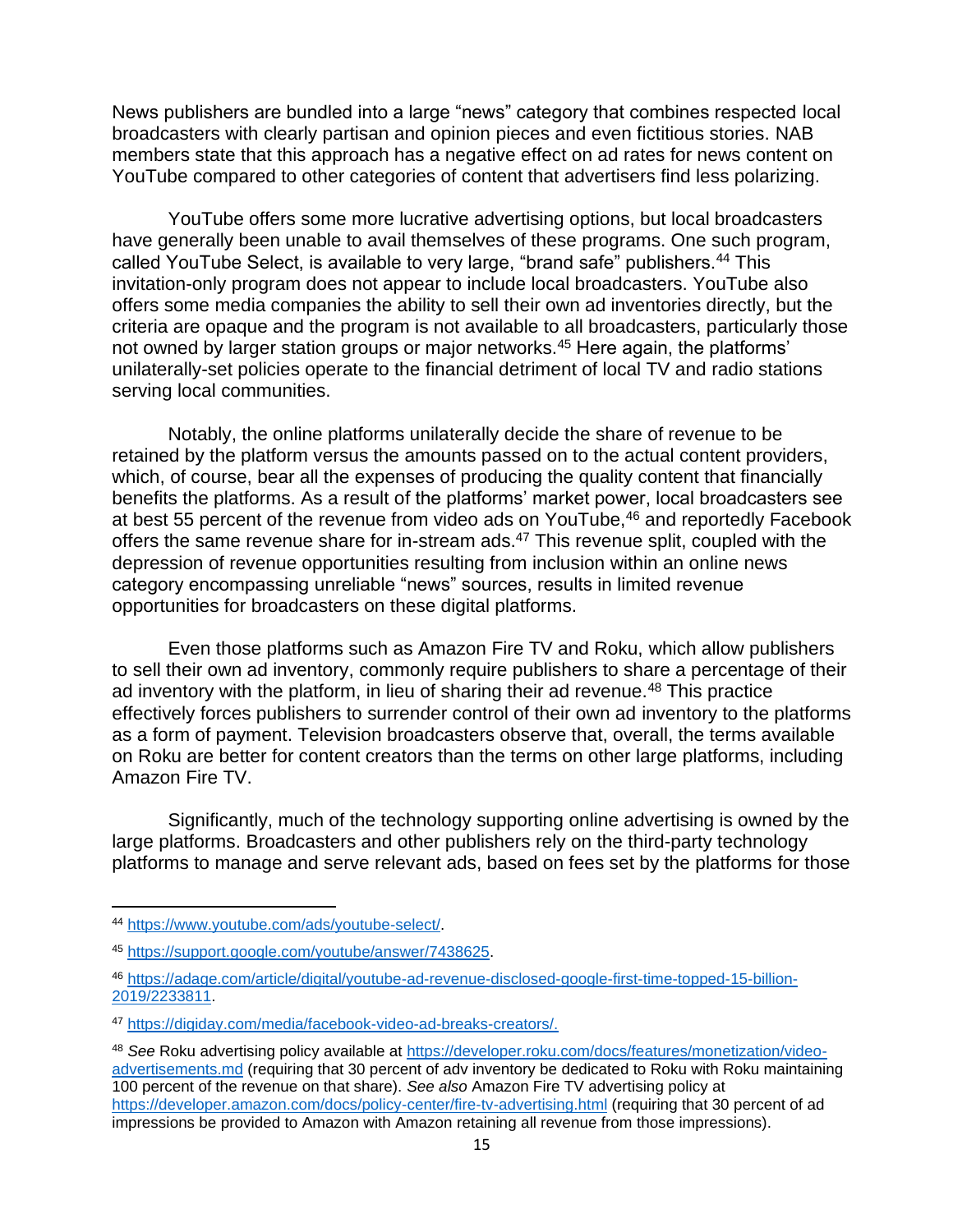News publishers are bundled into a large "news" category that combines respected local broadcasters with clearly partisan and opinion pieces and even fictitious stories. NAB members state that this approach has a negative effect on ad rates for news content on YouTube compared to other categories of content that advertisers find less polarizing.

YouTube offers some more lucrative advertising options, but local broadcasters have generally been unable to avail themselves of these programs. One such program, called YouTube Select, is available to very large, "brand safe" publishers.<sup>44</sup> This invitation-only program does not appear to include local broadcasters. YouTube also offers some media companies the ability to sell their own ad inventories directly, but the criteria are opaque and the program is not available to all broadcasters, particularly those not owned by larger station groups or major networks.<sup>45</sup> Here again, the platforms' unilaterally-set policies operate to the financial detriment of local TV and radio stations serving local communities.

Notably, the online platforms unilaterally decide the share of revenue to be retained by the platform versus the amounts passed on to the actual content providers, which, of course, bear all the expenses of producing the quality content that financially benefits the platforms. As a result of the platforms' market power, local broadcasters see at best 55 percent of the revenue from video ads on YouTube,<sup>46</sup> and reportedly Facebook offers the same revenue share for in-stream ads.<sup>47</sup> This revenue split, coupled with the depression of revenue opportunities resulting from inclusion within an online news category encompassing unreliable "news" sources, results in limited revenue opportunities for broadcasters on these digital platforms.

Even those platforms such as Amazon Fire TV and Roku, which allow publishers to sell their own ad inventory, commonly require publishers to share a percentage of their ad inventory with the platform, in lieu of sharing their ad revenue.<sup>48</sup> This practice effectively forces publishers to surrender control of their own ad inventory to the platforms as a form of payment. Television broadcasters observe that, overall, the terms available on Roku are better for content creators than the terms on other large platforms, including Amazon Fire TV.

Significantly, much of the technology supporting online advertising is owned by the large platforms. Broadcasters and other publishers rely on the third-party technology platforms to manage and serve relevant ads, based on fees set by the platforms for those

<sup>44</sup> [https://www.youtube.com/ads/youtube-select/.](https://www.youtube.com/ads/youtube-select/)

<sup>45</sup> [https://support.google.com/youtube/answer/7438625.](https://support.google.com/youtube/answer/7438625)

<sup>46</sup> [https://adage.com/article/digital/youtube-ad-revenue-disclosed-google-first-time-topped-15-billion-](https://adage.com/article/digital/youtube-ad-revenue-disclosed-google-first-time-topped-15-billion-2019/2233811)[2019/2233811.](https://adage.com/article/digital/youtube-ad-revenue-disclosed-google-first-time-topped-15-billion-2019/2233811)

<sup>47</sup> [https://digiday.com/media/facebook-video-ad-breaks-creators/.](https://digiday.com/media/facebook-video-ad-breaks-creators/)

<sup>48</sup> *See* Roku advertising policy available at [https://developer.roku.com/docs/features/monetization/video](https://developer.roku.com/docs/features/monetization/video-advertisements.md)[advertisements.md](https://developer.roku.com/docs/features/monetization/video-advertisements.md) (requiring that 30 percent of adv inventory be dedicated to Roku with Roku maintaining 100 percent of the revenue on that share). *See also* Amazon Fire TV advertising policy at <https://developer.amazon.com/docs/policy-center/fire-tv-advertising.html> (requiring that 30 percent of ad impressions be provided to Amazon with Amazon retaining all revenue from those impressions).